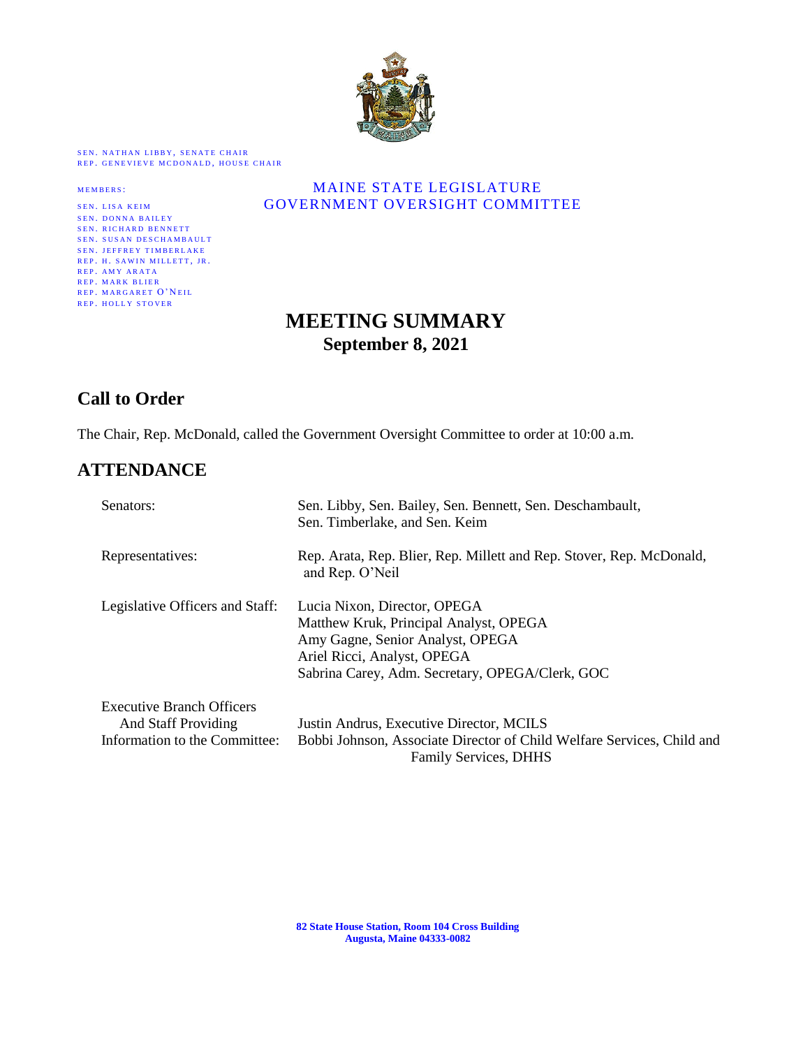

SEN. NATHAN LIBBY, SENATE CHAIR REP. GENEVIEVE MCDONALD, HOUSE CHAIR

| <b>SEN. LISA KEIM</b>          | GOVER |
|--------------------------------|-------|
| <b>SEN. DONNA BAILEY</b>       |       |
| <b>SEN. RICHARD BENNETT</b>    |       |
| <b>SEN. SUSAN DESCHAMBAULT</b> |       |
| <b>SEN. JEFFREY TIMBERLAKE</b> |       |
| REP. H. SAWIN MILLETT, JR.     |       |
| REP. AMY ARATA                 |       |
| <b>REP. MARK BLIER</b>         |       |
| REP. MARGARET O'NEIL           |       |
| <b>REP. HOLLY STOVER</b>       |       |

### MEMBERS: MAINE STATE LEGISLATURE GOVERNMENT OVERSIGHT COMMITTEE

# **MEETING SUMMARY September 8, 2021**

# **Call to Order**

The Chair, Rep. McDonald, called the Government Oversight Committee to order at 10:00 a.m.

# **ATTENDANCE**

| Senators:                                                                                       | Sen. Libby, Sen. Bailey, Sen. Bennett, Sen. Deschambault,<br>Sen. Timberlake, and Sen. Keim                                                                                                  |
|-------------------------------------------------------------------------------------------------|----------------------------------------------------------------------------------------------------------------------------------------------------------------------------------------------|
| Representatives:                                                                                | Rep. Arata, Rep. Blier, Rep. Millett and Rep. Stover, Rep. McDonald,<br>and Rep. O'Neil                                                                                                      |
| Legislative Officers and Staff:                                                                 | Lucia Nixon, Director, OPEGA<br>Matthew Kruk, Principal Analyst, OPEGA<br>Amy Gagne, Senior Analyst, OPEGA<br>Ariel Ricci, Analyst, OPEGA<br>Sabrina Carey, Adm. Secretary, OPEGA/Clerk, GOC |
| <b>Executive Branch Officers</b><br><b>And Staff Providing</b><br>Information to the Committee: | Justin Andrus, Executive Director, MCILS<br>Bobbi Johnson, Associate Director of Child Welfare Services, Child and<br>Family Services, DHHS                                                  |

**82 State House Station, Room 104 Cross Building Augusta, Maine 04333-0082**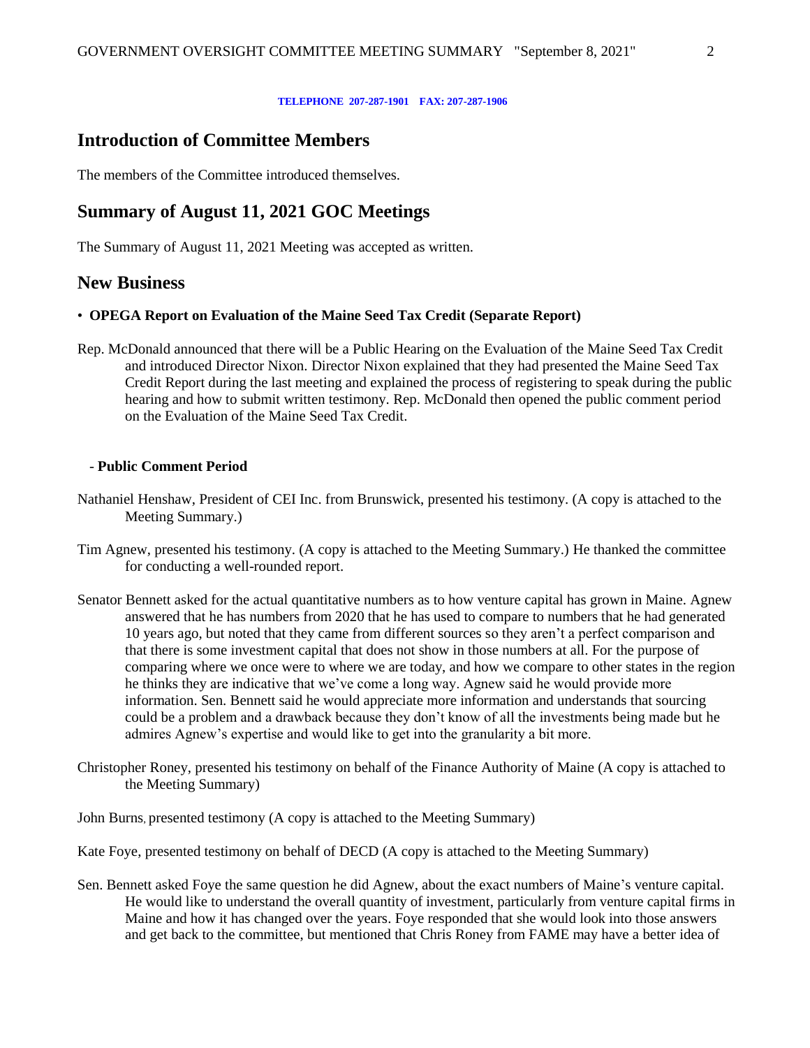#### **TELEPHONE 207-287-1901 FAX: 207-287-1906**

### **Introduction of Committee Members**

The members of the Committee introduced themselves.

### **Summary of August 11, 2021 GOC Meetings**

The Summary of August 11, 2021 Meeting was accepted as written.

### **New Business**

### • **OPEGA Report on Evaluation of the Maine Seed Tax Credit (Separate Report)**

Rep. McDonald announced that there will be a Public Hearing on the Evaluation of the Maine Seed Tax Credit and introduced Director Nixon. Director Nixon explained that they had presented the Maine Seed Tax Credit Report during the last meeting and explained the process of registering to speak during the public hearing and how to submit written testimony. Rep. McDonald then opened the public comment period on the Evaluation of the Maine Seed Tax Credit.

#### - **Public Comment Period**

- Nathaniel Henshaw, President of CEI Inc. from Brunswick, presented his testimony. (A copy is attached to the Meeting Summary.)
- Tim Agnew, presented his testimony. (A copy is attached to the Meeting Summary.) He thanked the committee for conducting a well-rounded report.
- Senator Bennett asked for the actual quantitative numbers as to how venture capital has grown in Maine. Agnew answered that he has numbers from 2020 that he has used to compare to numbers that he had generated 10 years ago, but noted that they came from different sources so they aren't a perfect comparison and that there is some investment capital that does not show in those numbers at all. For the purpose of comparing where we once were to where we are today, and how we compare to other states in the region he thinks they are indicative that we've come a long way. Agnew said he would provide more information. Sen. Bennett said he would appreciate more information and understands that sourcing could be a problem and a drawback because they don't know of all the investments being made but he admires Agnew's expertise and would like to get into the granularity a bit more.
- Christopher Roney, presented his testimony on behalf of the Finance Authority of Maine (A copy is attached to the Meeting Summary)

John Burns, presented testimony (A copy is attached to the Meeting Summary)

- Kate Foye, presented testimony on behalf of DECD (A copy is attached to the Meeting Summary)
- Sen. Bennett asked Foye the same question he did Agnew, about the exact numbers of Maine's venture capital. He would like to understand the overall quantity of investment, particularly from venture capital firms in Maine and how it has changed over the years. Foye responded that she would look into those answers and get back to the committee, but mentioned that Chris Roney from FAME may have a better idea of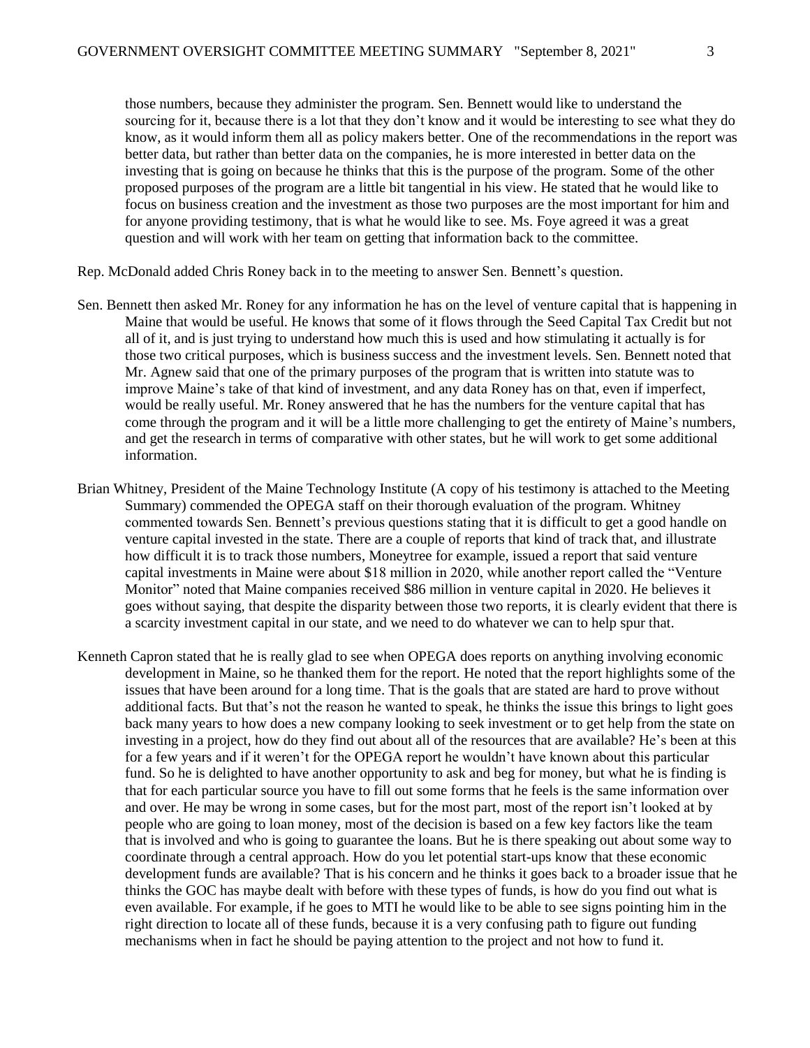those numbers, because they administer the program. Sen. Bennett would like to understand the sourcing for it, because there is a lot that they don't know and it would be interesting to see what they do know, as it would inform them all as policy makers better. One of the recommendations in the report was better data, but rather than better data on the companies, he is more interested in better data on the investing that is going on because he thinks that this is the purpose of the program. Some of the other proposed purposes of the program are a little bit tangential in his view. He stated that he would like to focus on business creation and the investment as those two purposes are the most important for him and for anyone providing testimony, that is what he would like to see. Ms. Foye agreed it was a great question and will work with her team on getting that information back to the committee.

Rep. McDonald added Chris Roney back in to the meeting to answer Sen. Bennett's question.

- Sen. Bennett then asked Mr. Roney for any information he has on the level of venture capital that is happening in Maine that would be useful. He knows that some of it flows through the Seed Capital Tax Credit but not all of it, and is just trying to understand how much this is used and how stimulating it actually is for those two critical purposes, which is business success and the investment levels. Sen. Bennett noted that Mr. Agnew said that one of the primary purposes of the program that is written into statute was to improve Maine's take of that kind of investment, and any data Roney has on that, even if imperfect, would be really useful. Mr. Roney answered that he has the numbers for the venture capital that has come through the program and it will be a little more challenging to get the entirety of Maine's numbers, and get the research in terms of comparative with other states, but he will work to get some additional information.
- Brian Whitney, President of the Maine Technology Institute (A copy of his testimony is attached to the Meeting Summary) commended the OPEGA staff on their thorough evaluation of the program. Whitney commented towards Sen. Bennett's previous questions stating that it is difficult to get a good handle on venture capital invested in the state. There are a couple of reports that kind of track that, and illustrate how difficult it is to track those numbers, Moneytree for example, issued a report that said venture capital investments in Maine were about \$18 million in 2020, while another report called the "Venture Monitor" noted that Maine companies received \$86 million in venture capital in 2020. He believes it goes without saying, that despite the disparity between those two reports, it is clearly evident that there is a scarcity investment capital in our state, and we need to do whatever we can to help spur that.
- Kenneth Capron stated that he is really glad to see when OPEGA does reports on anything involving economic development in Maine, so he thanked them for the report. He noted that the report highlights some of the issues that have been around for a long time. That is the goals that are stated are hard to prove without additional facts. But that's not the reason he wanted to speak, he thinks the issue this brings to light goes back many years to how does a new company looking to seek investment or to get help from the state on investing in a project, how do they find out about all of the resources that are available? He's been at this for a few years and if it weren't for the OPEGA report he wouldn't have known about this particular fund. So he is delighted to have another opportunity to ask and beg for money, but what he is finding is that for each particular source you have to fill out some forms that he feels is the same information over and over. He may be wrong in some cases, but for the most part, most of the report isn't looked at by people who are going to loan money, most of the decision is based on a few key factors like the team that is involved and who is going to guarantee the loans. But he is there speaking out about some way to coordinate through a central approach. How do you let potential start-ups know that these economic development funds are available? That is his concern and he thinks it goes back to a broader issue that he thinks the GOC has maybe dealt with before with these types of funds, is how do you find out what is even available. For example, if he goes to MTI he would like to be able to see signs pointing him in the right direction to locate all of these funds, because it is a very confusing path to figure out funding mechanisms when in fact he should be paying attention to the project and not how to fund it.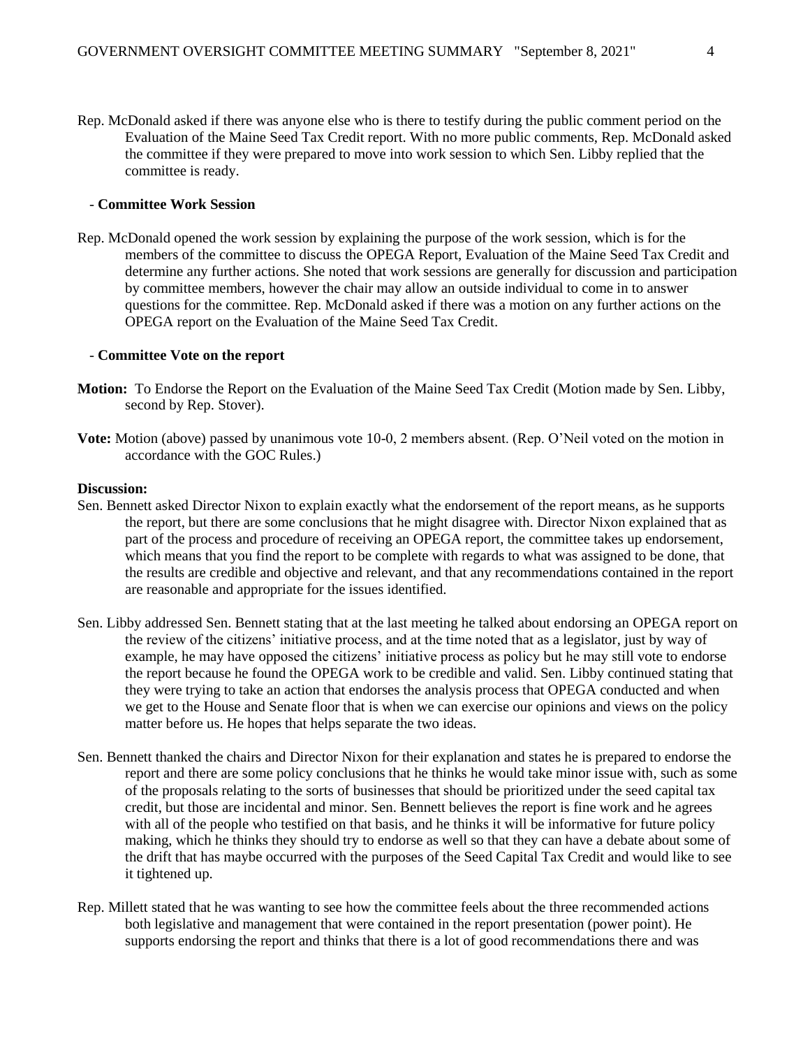Rep. McDonald asked if there was anyone else who is there to testify during the public comment period on the Evaluation of the Maine Seed Tax Credit report. With no more public comments, Rep. McDonald asked the committee if they were prepared to move into work session to which Sen. Libby replied that the committee is ready.

### - **Committee Work Session**

Rep. McDonald opened the work session by explaining the purpose of the work session, which is for the members of the committee to discuss the OPEGA Report, Evaluation of the Maine Seed Tax Credit and determine any further actions. She noted that work sessions are generally for discussion and participation by committee members, however the chair may allow an outside individual to come in to answer questions for the committee. Rep. McDonald asked if there was a motion on any further actions on the OPEGA report on the Evaluation of the Maine Seed Tax Credit.

#### - **Committee Vote on the report**

- **Motion:** To Endorse the Report on the Evaluation of the Maine Seed Tax Credit (Motion made by Sen. Libby, second by Rep. Stover).
- **Vote:** Motion (above) passed by unanimous vote 10-0, 2 members absent. (Rep. O'Neil voted on the motion in accordance with the GOC Rules.)

#### **Discussion:**

- Sen. Bennett asked Director Nixon to explain exactly what the endorsement of the report means, as he supports the report, but there are some conclusions that he might disagree with. Director Nixon explained that as part of the process and procedure of receiving an OPEGA report, the committee takes up endorsement, which means that you find the report to be complete with regards to what was assigned to be done, that the results are credible and objective and relevant, and that any recommendations contained in the report are reasonable and appropriate for the issues identified.
- Sen. Libby addressed Sen. Bennett stating that at the last meeting he talked about endorsing an OPEGA report on the review of the citizens' initiative process, and at the time noted that as a legislator, just by way of example, he may have opposed the citizens' initiative process as policy but he may still vote to endorse the report because he found the OPEGA work to be credible and valid. Sen. Libby continued stating that they were trying to take an action that endorses the analysis process that OPEGA conducted and when we get to the House and Senate floor that is when we can exercise our opinions and views on the policy matter before us. He hopes that helps separate the two ideas.
- Sen. Bennett thanked the chairs and Director Nixon for their explanation and states he is prepared to endorse the report and there are some policy conclusions that he thinks he would take minor issue with, such as some of the proposals relating to the sorts of businesses that should be prioritized under the seed capital tax credit, but those are incidental and minor. Sen. Bennett believes the report is fine work and he agrees with all of the people who testified on that basis, and he thinks it will be informative for future policy making, which he thinks they should try to endorse as well so that they can have a debate about some of the drift that has maybe occurred with the purposes of the Seed Capital Tax Credit and would like to see it tightened up.
- Rep. Millett stated that he was wanting to see how the committee feels about the three recommended actions both legislative and management that were contained in the report presentation (power point). He supports endorsing the report and thinks that there is a lot of good recommendations there and was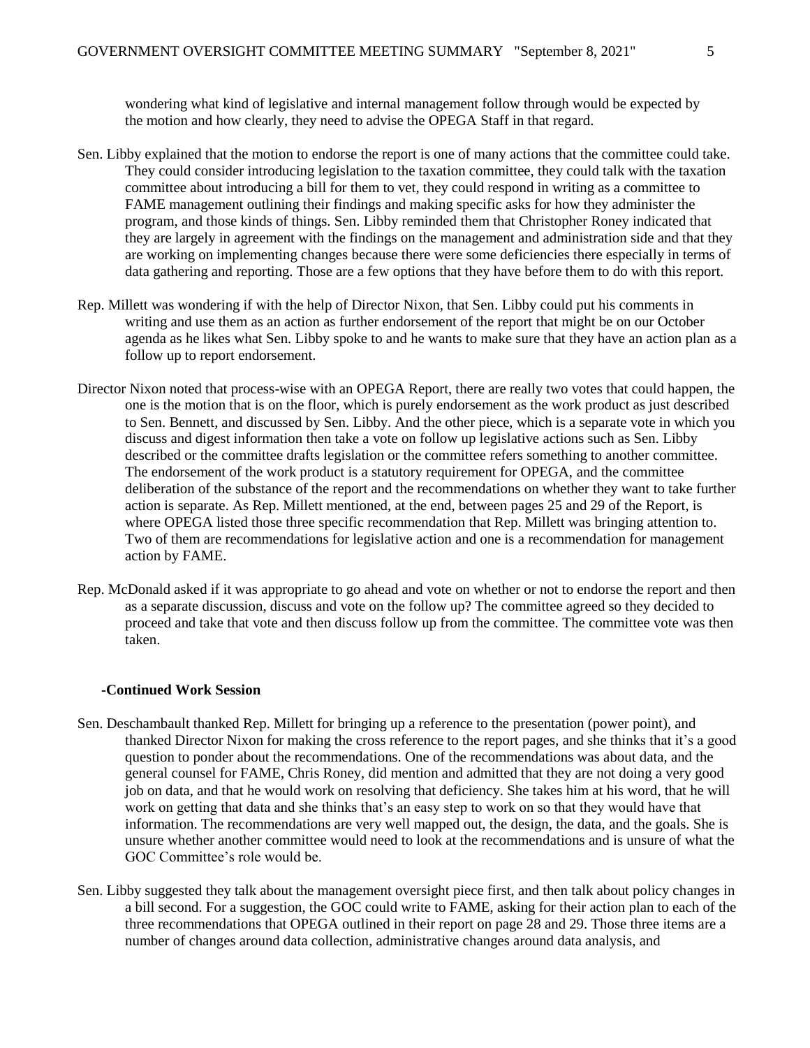wondering what kind of legislative and internal management follow through would be expected by the motion and how clearly, they need to advise the OPEGA Staff in that regard.

- Sen. Libby explained that the motion to endorse the report is one of many actions that the committee could take. They could consider introducing legislation to the taxation committee, they could talk with the taxation committee about introducing a bill for them to vet, they could respond in writing as a committee to FAME management outlining their findings and making specific asks for how they administer the program, and those kinds of things. Sen. Libby reminded them that Christopher Roney indicated that they are largely in agreement with the findings on the management and administration side and that they are working on implementing changes because there were some deficiencies there especially in terms of data gathering and reporting. Those are a few options that they have before them to do with this report.
- Rep. Millett was wondering if with the help of Director Nixon, that Sen. Libby could put his comments in writing and use them as an action as further endorsement of the report that might be on our October agenda as he likes what Sen. Libby spoke to and he wants to make sure that they have an action plan as a follow up to report endorsement.
- Director Nixon noted that process-wise with an OPEGA Report, there are really two votes that could happen, the one is the motion that is on the floor, which is purely endorsement as the work product as just described to Sen. Bennett, and discussed by Sen. Libby. And the other piece, which is a separate vote in which you discuss and digest information then take a vote on follow up legislative actions such as Sen. Libby described or the committee drafts legislation or the committee refers something to another committee. The endorsement of the work product is a statutory requirement for OPEGA, and the committee deliberation of the substance of the report and the recommendations on whether they want to take further action is separate. As Rep. Millett mentioned, at the end, between pages 25 and 29 of the Report, is where OPEGA listed those three specific recommendation that Rep. Millett was bringing attention to. Two of them are recommendations for legislative action and one is a recommendation for management action by FAME.
- Rep. McDonald asked if it was appropriate to go ahead and vote on whether or not to endorse the report and then as a separate discussion, discuss and vote on the follow up? The committee agreed so they decided to proceed and take that vote and then discuss follow up from the committee. The committee vote was then taken.

#### **-Continued Work Session**

- Sen. Deschambault thanked Rep. Millett for bringing up a reference to the presentation (power point), and thanked Director Nixon for making the cross reference to the report pages, and she thinks that it's a good question to ponder about the recommendations. One of the recommendations was about data, and the general counsel for FAME, Chris Roney, did mention and admitted that they are not doing a very good job on data, and that he would work on resolving that deficiency. She takes him at his word, that he will work on getting that data and she thinks that's an easy step to work on so that they would have that information. The recommendations are very well mapped out, the design, the data, and the goals. She is unsure whether another committee would need to look at the recommendations and is unsure of what the GOC Committee's role would be.
- Sen. Libby suggested they talk about the management oversight piece first, and then talk about policy changes in a bill second. For a suggestion, the GOC could write to FAME, asking for their action plan to each of the three recommendations that OPEGA outlined in their report on page 28 and 29. Those three items are a number of changes around data collection, administrative changes around data analysis, and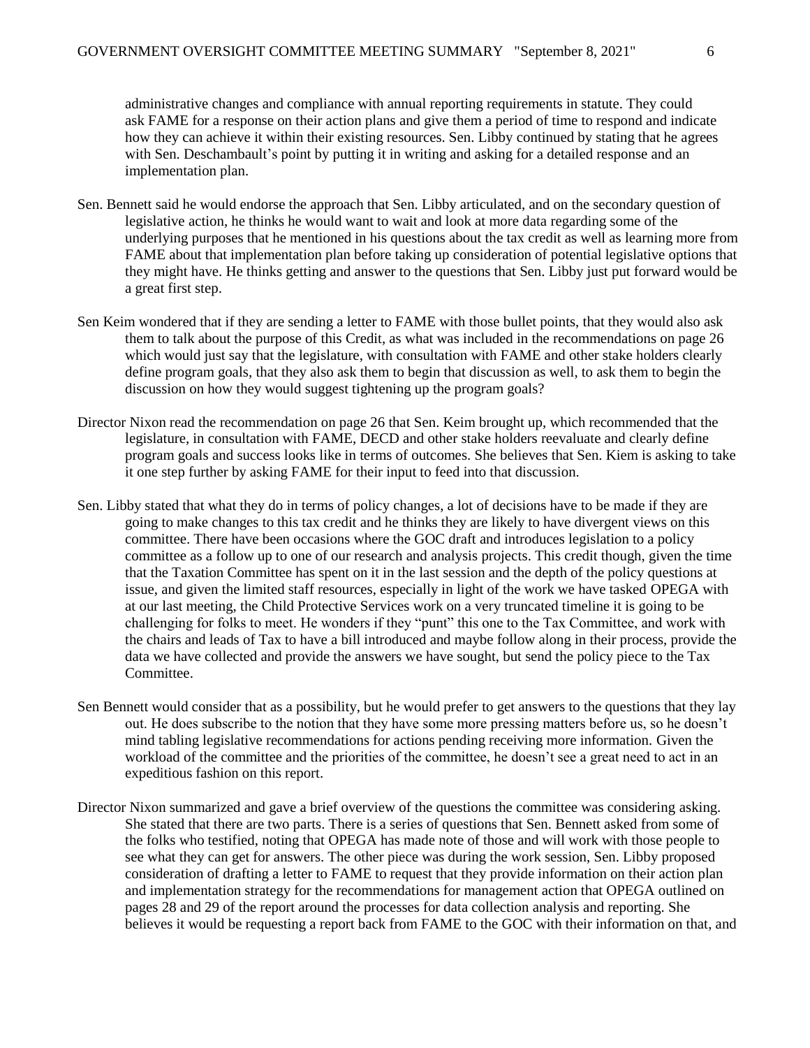administrative changes and compliance with annual reporting requirements in statute. They could ask FAME for a response on their action plans and give them a period of time to respond and indicate how they can achieve it within their existing resources. Sen. Libby continued by stating that he agrees with Sen. Deschambault's point by putting it in writing and asking for a detailed response and an implementation plan.

- Sen. Bennett said he would endorse the approach that Sen. Libby articulated, and on the secondary question of legislative action, he thinks he would want to wait and look at more data regarding some of the underlying purposes that he mentioned in his questions about the tax credit as well as learning more from FAME about that implementation plan before taking up consideration of potential legislative options that they might have. He thinks getting and answer to the questions that Sen. Libby just put forward would be a great first step.
- Sen Keim wondered that if they are sending a letter to FAME with those bullet points, that they would also ask them to talk about the purpose of this Credit, as what was included in the recommendations on page 26 which would just say that the legislature, with consultation with FAME and other stake holders clearly define program goals, that they also ask them to begin that discussion as well, to ask them to begin the discussion on how they would suggest tightening up the program goals?
- Director Nixon read the recommendation on page 26 that Sen. Keim brought up, which recommended that the legislature, in consultation with FAME, DECD and other stake holders reevaluate and clearly define program goals and success looks like in terms of outcomes. She believes that Sen. Kiem is asking to take it one step further by asking FAME for their input to feed into that discussion.
- Sen. Libby stated that what they do in terms of policy changes, a lot of decisions have to be made if they are going to make changes to this tax credit and he thinks they are likely to have divergent views on this committee. There have been occasions where the GOC draft and introduces legislation to a policy committee as a follow up to one of our research and analysis projects. This credit though, given the time that the Taxation Committee has spent on it in the last session and the depth of the policy questions at issue, and given the limited staff resources, especially in light of the work we have tasked OPEGA with at our last meeting, the Child Protective Services work on a very truncated timeline it is going to be challenging for folks to meet. He wonders if they "punt" this one to the Tax Committee, and work with the chairs and leads of Tax to have a bill introduced and maybe follow along in their process, provide the data we have collected and provide the answers we have sought, but send the policy piece to the Tax Committee.
- Sen Bennett would consider that as a possibility, but he would prefer to get answers to the questions that they lay out. He does subscribe to the notion that they have some more pressing matters before us, so he doesn't mind tabling legislative recommendations for actions pending receiving more information. Given the workload of the committee and the priorities of the committee, he doesn't see a great need to act in an expeditious fashion on this report.
- Director Nixon summarized and gave a brief overview of the questions the committee was considering asking. She stated that there are two parts. There is a series of questions that Sen. Bennett asked from some of the folks who testified, noting that OPEGA has made note of those and will work with those people to see what they can get for answers. The other piece was during the work session, Sen. Libby proposed consideration of drafting a letter to FAME to request that they provide information on their action plan and implementation strategy for the recommendations for management action that OPEGA outlined on pages 28 and 29 of the report around the processes for data collection analysis and reporting. She believes it would be requesting a report back from FAME to the GOC with their information on that, and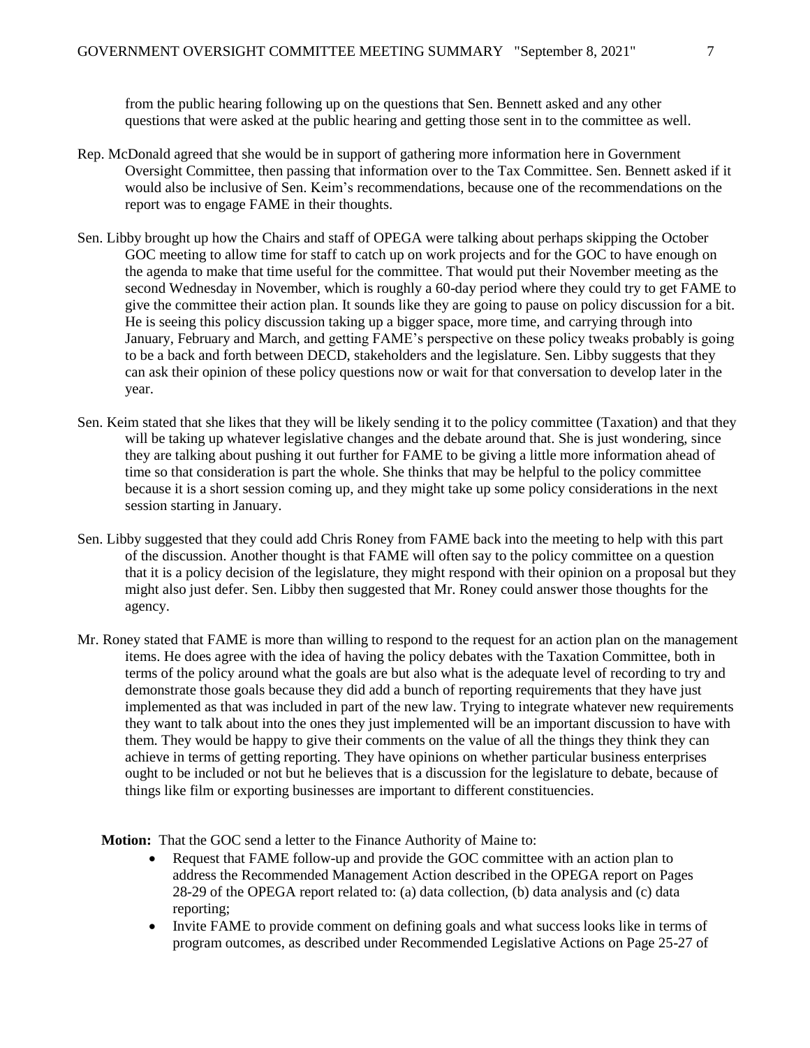from the public hearing following up on the questions that Sen. Bennett asked and any other questions that were asked at the public hearing and getting those sent in to the committee as well.

- Rep. McDonald agreed that she would be in support of gathering more information here in Government Oversight Committee, then passing that information over to the Tax Committee. Sen. Bennett asked if it would also be inclusive of Sen. Keim's recommendations, because one of the recommendations on the report was to engage FAME in their thoughts.
- Sen. Libby brought up how the Chairs and staff of OPEGA were talking about perhaps skipping the October GOC meeting to allow time for staff to catch up on work projects and for the GOC to have enough on the agenda to make that time useful for the committee. That would put their November meeting as the second Wednesday in November, which is roughly a 60-day period where they could try to get FAME to give the committee their action plan. It sounds like they are going to pause on policy discussion for a bit. He is seeing this policy discussion taking up a bigger space, more time, and carrying through into January, February and March, and getting FAME's perspective on these policy tweaks probably is going to be a back and forth between DECD, stakeholders and the legislature. Sen. Libby suggests that they can ask their opinion of these policy questions now or wait for that conversation to develop later in the year.
- Sen. Keim stated that she likes that they will be likely sending it to the policy committee (Taxation) and that they will be taking up whatever legislative changes and the debate around that. She is just wondering, since they are talking about pushing it out further for FAME to be giving a little more information ahead of time so that consideration is part the whole. She thinks that may be helpful to the policy committee because it is a short session coming up, and they might take up some policy considerations in the next session starting in January.
- Sen. Libby suggested that they could add Chris Roney from FAME back into the meeting to help with this part of the discussion. Another thought is that FAME will often say to the policy committee on a question that it is a policy decision of the legislature, they might respond with their opinion on a proposal but they might also just defer. Sen. Libby then suggested that Mr. Roney could answer those thoughts for the agency.
- Mr. Roney stated that FAME is more than willing to respond to the request for an action plan on the management items. He does agree with the idea of having the policy debates with the Taxation Committee, both in terms of the policy around what the goals are but also what is the adequate level of recording to try and demonstrate those goals because they did add a bunch of reporting requirements that they have just implemented as that was included in part of the new law. Trying to integrate whatever new requirements they want to talk about into the ones they just implemented will be an important discussion to have with them. They would be happy to give their comments on the value of all the things they think they can achieve in terms of getting reporting. They have opinions on whether particular business enterprises ought to be included or not but he believes that is a discussion for the legislature to debate, because of things like film or exporting businesses are important to different constituencies.
	- **Motion:** That the GOC send a letter to the Finance Authority of Maine to:
		- Request that FAME follow-up and provide the GOC committee with an action plan to address the Recommended Management Action described in the OPEGA report on Pages 28-29 of the OPEGA report related to: (a) data collection, (b) data analysis and (c) data reporting;
		- Invite FAME to provide comment on defining goals and what success looks like in terms of program outcomes, as described under Recommended Legislative Actions on Page 25-27 of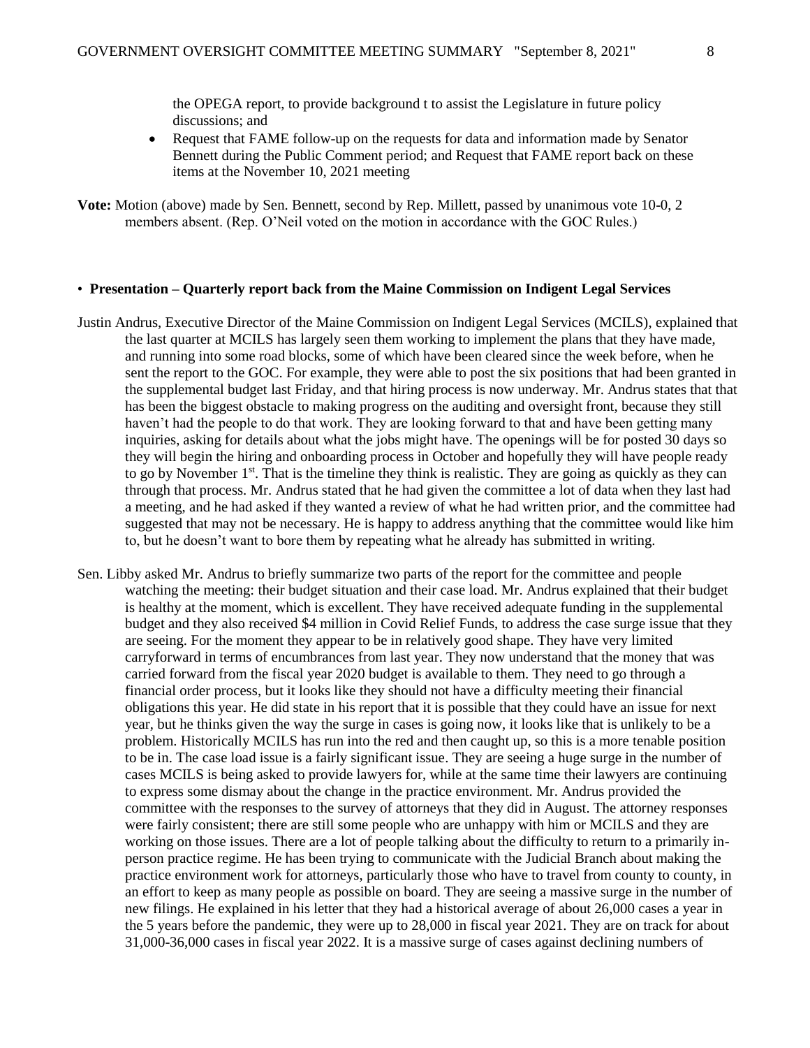the OPEGA report, to provide background t to assist the Legislature in future policy discussions; and

• Request that FAME follow-up on the requests for data and information made by Senator Bennett during the Public Comment period; and Request that FAME report back on these items at the November 10, 2021 meeting

**Vote:** Motion (above) made by Sen. Bennett, second by Rep. Millett, passed by unanimous vote 10-0, 2 members absent. (Rep. O'Neil voted on the motion in accordance with the GOC Rules.)

#### • **Presentation – Quarterly report back from the Maine Commission on Indigent Legal Services**

- Justin Andrus, Executive Director of the Maine Commission on Indigent Legal Services (MCILS), explained that the last quarter at MCILS has largely seen them working to implement the plans that they have made, and running into some road blocks, some of which have been cleared since the week before, when he sent the report to the GOC. For example, they were able to post the six positions that had been granted in the supplemental budget last Friday, and that hiring process is now underway. Mr. Andrus states that that has been the biggest obstacle to making progress on the auditing and oversight front, because they still haven't had the people to do that work. They are looking forward to that and have been getting many inquiries, asking for details about what the jobs might have. The openings will be for posted 30 days so they will begin the hiring and onboarding process in October and hopefully they will have people ready to go by November 1st. That is the timeline they think is realistic. They are going as quickly as they can through that process. Mr. Andrus stated that he had given the committee a lot of data when they last had a meeting, and he had asked if they wanted a review of what he had written prior, and the committee had suggested that may not be necessary. He is happy to address anything that the committee would like him to, but he doesn't want to bore them by repeating what he already has submitted in writing.
- Sen. Libby asked Mr. Andrus to briefly summarize two parts of the report for the committee and people watching the meeting: their budget situation and their case load. Mr. Andrus explained that their budget is healthy at the moment, which is excellent. They have received adequate funding in the supplemental budget and they also received \$4 million in Covid Relief Funds, to address the case surge issue that they are seeing. For the moment they appear to be in relatively good shape. They have very limited carryforward in terms of encumbrances from last year. They now understand that the money that was carried forward from the fiscal year 2020 budget is available to them. They need to go through a financial order process, but it looks like they should not have a difficulty meeting their financial obligations this year. He did state in his report that it is possible that they could have an issue for next year, but he thinks given the way the surge in cases is going now, it looks like that is unlikely to be a problem. Historically MCILS has run into the red and then caught up, so this is a more tenable position to be in. The case load issue is a fairly significant issue. They are seeing a huge surge in the number of cases MCILS is being asked to provide lawyers for, while at the same time their lawyers are continuing to express some dismay about the change in the practice environment. Mr. Andrus provided the committee with the responses to the survey of attorneys that they did in August. The attorney responses were fairly consistent; there are still some people who are unhappy with him or MCILS and they are working on those issues. There are a lot of people talking about the difficulty to return to a primarily inperson practice regime. He has been trying to communicate with the Judicial Branch about making the practice environment work for attorneys, particularly those who have to travel from county to county, in an effort to keep as many people as possible on board. They are seeing a massive surge in the number of new filings. He explained in his letter that they had a historical average of about 26,000 cases a year in the 5 years before the pandemic, they were up to 28,000 in fiscal year 2021. They are on track for about 31,000-36,000 cases in fiscal year 2022. It is a massive surge of cases against declining numbers of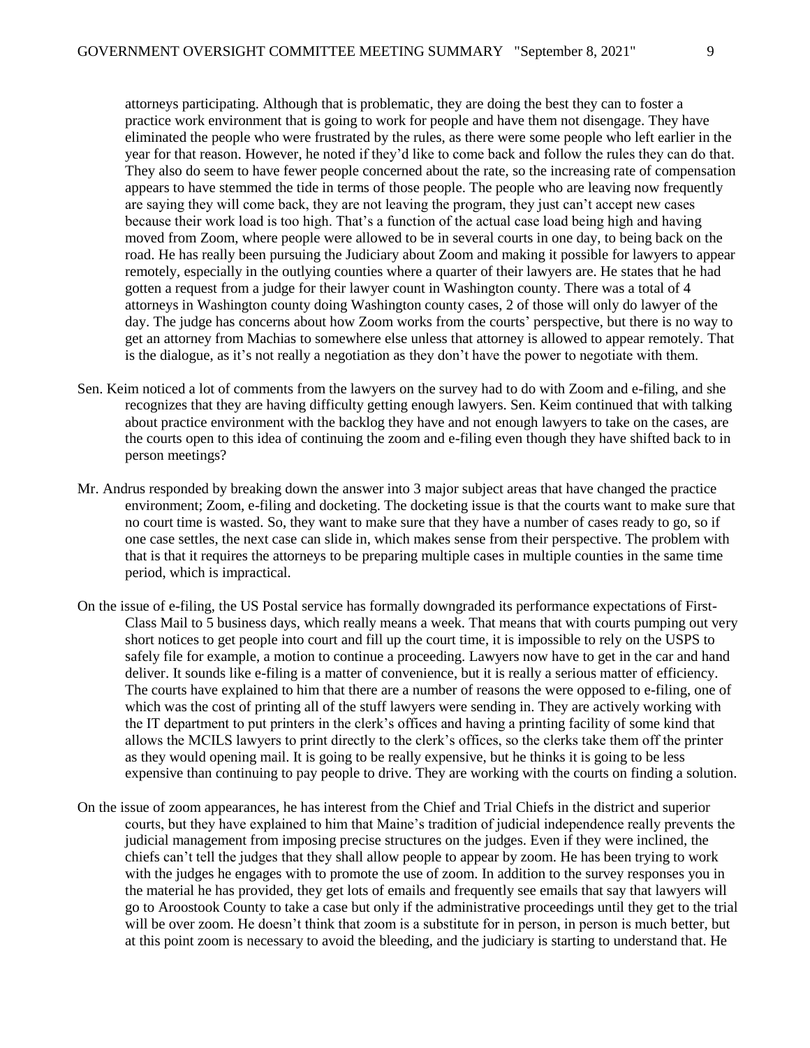attorneys participating. Although that is problematic, they are doing the best they can to foster a practice work environment that is going to work for people and have them not disengage. They have eliminated the people who were frustrated by the rules, as there were some people who left earlier in the year for that reason. However, he noted if they'd like to come back and follow the rules they can do that. They also do seem to have fewer people concerned about the rate, so the increasing rate of compensation appears to have stemmed the tide in terms of those people. The people who are leaving now frequently are saying they will come back, they are not leaving the program, they just can't accept new cases because their work load is too high. That's a function of the actual case load being high and having moved from Zoom, where people were allowed to be in several courts in one day, to being back on the road. He has really been pursuing the Judiciary about Zoom and making it possible for lawyers to appear remotely, especially in the outlying counties where a quarter of their lawyers are. He states that he had gotten a request from a judge for their lawyer count in Washington county. There was a total of 4 attorneys in Washington county doing Washington county cases, 2 of those will only do lawyer of the day. The judge has concerns about how Zoom works from the courts' perspective, but there is no way to get an attorney from Machias to somewhere else unless that attorney is allowed to appear remotely. That is the dialogue, as it's not really a negotiation as they don't have the power to negotiate with them.

- Sen. Keim noticed a lot of comments from the lawyers on the survey had to do with Zoom and e-filing, and she recognizes that they are having difficulty getting enough lawyers. Sen. Keim continued that with talking about practice environment with the backlog they have and not enough lawyers to take on the cases, are the courts open to this idea of continuing the zoom and e-filing even though they have shifted back to in person meetings?
- Mr. Andrus responded by breaking down the answer into 3 major subject areas that have changed the practice environment; Zoom, e-filing and docketing. The docketing issue is that the courts want to make sure that no court time is wasted. So, they want to make sure that they have a number of cases ready to go, so if one case settles, the next case can slide in, which makes sense from their perspective. The problem with that is that it requires the attorneys to be preparing multiple cases in multiple counties in the same time period, which is impractical.
- On the issue of e-filing, the US Postal service has formally downgraded its performance expectations of First-Class Mail to 5 business days, which really means a week. That means that with courts pumping out very short notices to get people into court and fill up the court time, it is impossible to rely on the USPS to safely file for example, a motion to continue a proceeding. Lawyers now have to get in the car and hand deliver. It sounds like e-filing is a matter of convenience, but it is really a serious matter of efficiency. The courts have explained to him that there are a number of reasons the were opposed to e-filing, one of which was the cost of printing all of the stuff lawyers were sending in. They are actively working with the IT department to put printers in the clerk's offices and having a printing facility of some kind that allows the MCILS lawyers to print directly to the clerk's offices, so the clerks take them off the printer as they would opening mail. It is going to be really expensive, but he thinks it is going to be less expensive than continuing to pay people to drive. They are working with the courts on finding a solution.
- On the issue of zoom appearances, he has interest from the Chief and Trial Chiefs in the district and superior courts, but they have explained to him that Maine's tradition of judicial independence really prevents the judicial management from imposing precise structures on the judges. Even if they were inclined, the chiefs can't tell the judges that they shall allow people to appear by zoom. He has been trying to work with the judges he engages with to promote the use of zoom. In addition to the survey responses you in the material he has provided, they get lots of emails and frequently see emails that say that lawyers will go to Aroostook County to take a case but only if the administrative proceedings until they get to the trial will be over zoom. He doesn't think that zoom is a substitute for in person, in person is much better, but at this point zoom is necessary to avoid the bleeding, and the judiciary is starting to understand that. He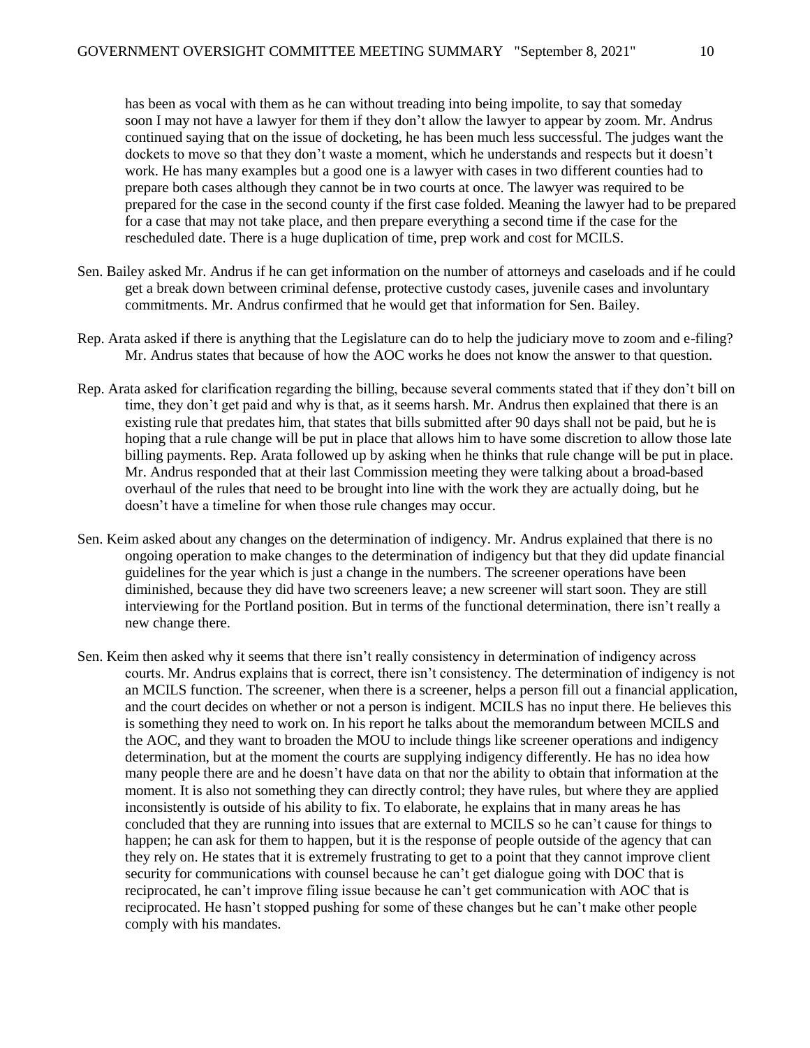has been as vocal with them as he can without treading into being impolite, to say that someday soon I may not have a lawyer for them if they don't allow the lawyer to appear by zoom. Mr. Andrus continued saying that on the issue of docketing, he has been much less successful. The judges want the dockets to move so that they don't waste a moment, which he understands and respects but it doesn't work. He has many examples but a good one is a lawyer with cases in two different counties had to prepare both cases although they cannot be in two courts at once. The lawyer was required to be prepared for the case in the second county if the first case folded. Meaning the lawyer had to be prepared for a case that may not take place, and then prepare everything a second time if the case for the rescheduled date. There is a huge duplication of time, prep work and cost for MCILS.

- Sen. Bailey asked Mr. Andrus if he can get information on the number of attorneys and caseloads and if he could get a break down between criminal defense, protective custody cases, juvenile cases and involuntary commitments. Mr. Andrus confirmed that he would get that information for Sen. Bailey.
- Rep. Arata asked if there is anything that the Legislature can do to help the judiciary move to zoom and e-filing? Mr. Andrus states that because of how the AOC works he does not know the answer to that question.
- Rep. Arata asked for clarification regarding the billing, because several comments stated that if they don't bill on time, they don't get paid and why is that, as it seems harsh. Mr. Andrus then explained that there is an existing rule that predates him, that states that bills submitted after 90 days shall not be paid, but he is hoping that a rule change will be put in place that allows him to have some discretion to allow those late billing payments. Rep. Arata followed up by asking when he thinks that rule change will be put in place. Mr. Andrus responded that at their last Commission meeting they were talking about a broad-based overhaul of the rules that need to be brought into line with the work they are actually doing, but he doesn't have a timeline for when those rule changes may occur.
- Sen. Keim asked about any changes on the determination of indigency. Mr. Andrus explained that there is no ongoing operation to make changes to the determination of indigency but that they did update financial guidelines for the year which is just a change in the numbers. The screener operations have been diminished, because they did have two screeners leave; a new screener will start soon. They are still interviewing for the Portland position. But in terms of the functional determination, there isn't really a new change there.
- Sen. Keim then asked why it seems that there isn't really consistency in determination of indigency across courts. Mr. Andrus explains that is correct, there isn't consistency. The determination of indigency is not an MCILS function. The screener, when there is a screener, helps a person fill out a financial application, and the court decides on whether or not a person is indigent. MCILS has no input there. He believes this is something they need to work on. In his report he talks about the memorandum between MCILS and the AOC, and they want to broaden the MOU to include things like screener operations and indigency determination, but at the moment the courts are supplying indigency differently. He has no idea how many people there are and he doesn't have data on that nor the ability to obtain that information at the moment. It is also not something they can directly control; they have rules, but where they are applied inconsistently is outside of his ability to fix. To elaborate, he explains that in many areas he has concluded that they are running into issues that are external to MCILS so he can't cause for things to happen; he can ask for them to happen, but it is the response of people outside of the agency that can they rely on. He states that it is extremely frustrating to get to a point that they cannot improve client security for communications with counsel because he can't get dialogue going with DOC that is reciprocated, he can't improve filing issue because he can't get communication with AOC that is reciprocated. He hasn't stopped pushing for some of these changes but he can't make other people comply with his mandates.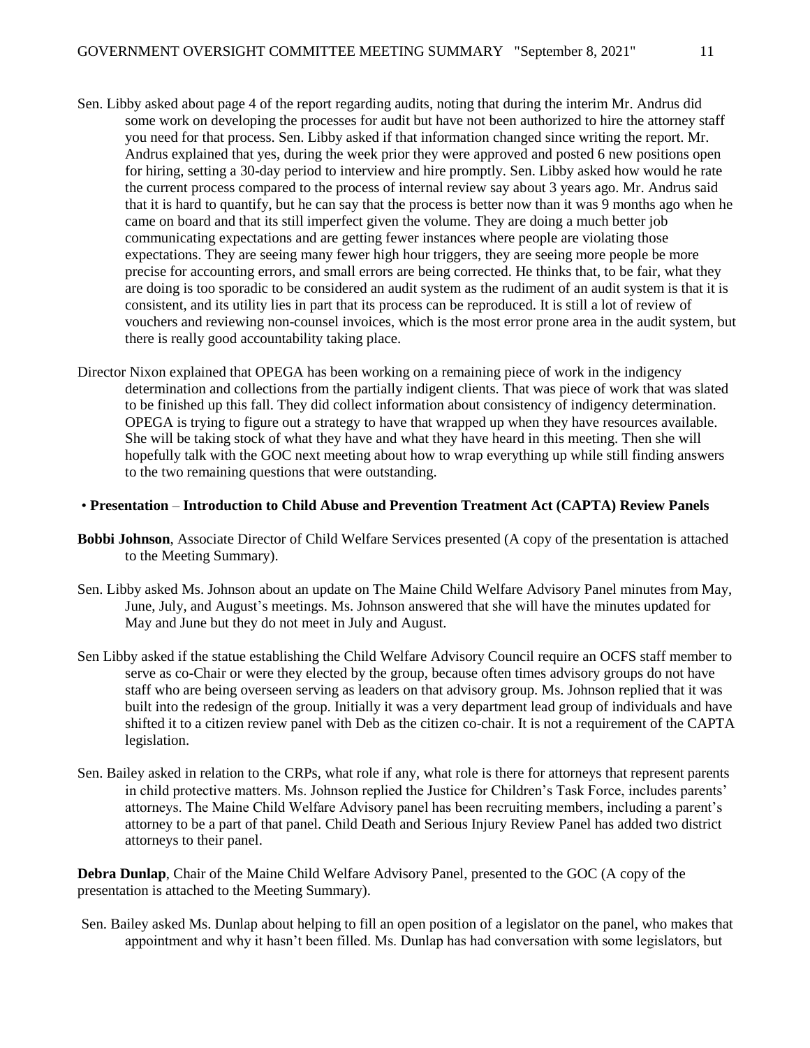- Sen. Libby asked about page 4 of the report regarding audits, noting that during the interim Mr. Andrus did some work on developing the processes for audit but have not been authorized to hire the attorney staff you need for that process. Sen. Libby asked if that information changed since writing the report. Mr. Andrus explained that yes, during the week prior they were approved and posted 6 new positions open for hiring, setting a 30-day period to interview and hire promptly. Sen. Libby asked how would he rate the current process compared to the process of internal review say about 3 years ago. Mr. Andrus said that it is hard to quantify, but he can say that the process is better now than it was 9 months ago when he came on board and that its still imperfect given the volume. They are doing a much better job communicating expectations and are getting fewer instances where people are violating those expectations. They are seeing many fewer high hour triggers, they are seeing more people be more precise for accounting errors, and small errors are being corrected. He thinks that, to be fair, what they are doing is too sporadic to be considered an audit system as the rudiment of an audit system is that it is consistent, and its utility lies in part that its process can be reproduced. It is still a lot of review of vouchers and reviewing non-counsel invoices, which is the most error prone area in the audit system, but there is really good accountability taking place.
- Director Nixon explained that OPEGA has been working on a remaining piece of work in the indigency determination and collections from the partially indigent clients. That was piece of work that was slated to be finished up this fall. They did collect information about consistency of indigency determination. OPEGA is trying to figure out a strategy to have that wrapped up when they have resources available. She will be taking stock of what they have and what they have heard in this meeting. Then she will hopefully talk with the GOC next meeting about how to wrap everything up while still finding answers to the two remaining questions that were outstanding.

#### • **Presentation** – **Introduction to Child Abuse and Prevention Treatment Act (CAPTA) Review Panels**

- **Bobbi Johnson**, Associate Director of Child Welfare Services presented (A copy of the presentation is attached to the Meeting Summary).
- Sen. Libby asked Ms. Johnson about an update on The Maine Child Welfare Advisory Panel minutes from May, June, July, and August's meetings. Ms. Johnson answered that she will have the minutes updated for May and June but they do not meet in July and August.
- Sen Libby asked if the statue establishing the Child Welfare Advisory Council require an OCFS staff member to serve as co-Chair or were they elected by the group, because often times advisory groups do not have staff who are being overseen serving as leaders on that advisory group. Ms. Johnson replied that it was built into the redesign of the group. Initially it was a very department lead group of individuals and have shifted it to a citizen review panel with Deb as the citizen co-chair. It is not a requirement of the CAPTA legislation.
- Sen. Bailey asked in relation to the CRPs, what role if any, what role is there for attorneys that represent parents in child protective matters. Ms. Johnson replied the Justice for Children's Task Force, includes parents' attorneys. The Maine Child Welfare Advisory panel has been recruiting members, including a parent's attorney to be a part of that panel. Child Death and Serious Injury Review Panel has added two district attorneys to their panel.

**Debra Dunlap**, Chair of the Maine Child Welfare Advisory Panel, presented to the GOC (A copy of the presentation is attached to the Meeting Summary).

Sen. Bailey asked Ms. Dunlap about helping to fill an open position of a legislator on the panel, who makes that appointment and why it hasn't been filled. Ms. Dunlap has had conversation with some legislators, but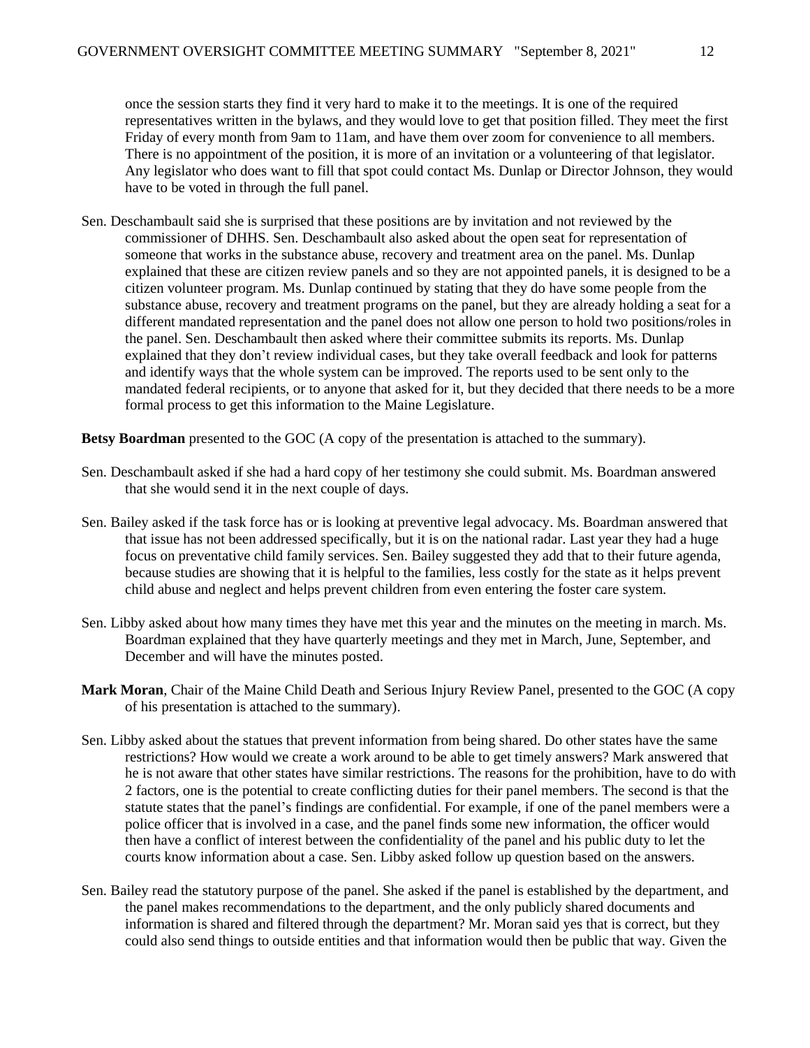once the session starts they find it very hard to make it to the meetings. It is one of the required representatives written in the bylaws, and they would love to get that position filled. They meet the first Friday of every month from 9am to 11am, and have them over zoom for convenience to all members. There is no appointment of the position, it is more of an invitation or a volunteering of that legislator. Any legislator who does want to fill that spot could contact Ms. Dunlap or Director Johnson, they would have to be voted in through the full panel.

Sen. Deschambault said she is surprised that these positions are by invitation and not reviewed by the commissioner of DHHS. Sen. Deschambault also asked about the open seat for representation of someone that works in the substance abuse, recovery and treatment area on the panel. Ms. Dunlap explained that these are citizen review panels and so they are not appointed panels, it is designed to be a citizen volunteer program. Ms. Dunlap continued by stating that they do have some people from the substance abuse, recovery and treatment programs on the panel, but they are already holding a seat for a different mandated representation and the panel does not allow one person to hold two positions/roles in the panel. Sen. Deschambault then asked where their committee submits its reports. Ms. Dunlap explained that they don't review individual cases, but they take overall feedback and look for patterns and identify ways that the whole system can be improved. The reports used to be sent only to the mandated federal recipients, or to anyone that asked for it, but they decided that there needs to be a more formal process to get this information to the Maine Legislature.

**Betsy Boardman** presented to the GOC (A copy of the presentation is attached to the summary).

- Sen. Deschambault asked if she had a hard copy of her testimony she could submit. Ms. Boardman answered that she would send it in the next couple of days.
- Sen. Bailey asked if the task force has or is looking at preventive legal advocacy. Ms. Boardman answered that that issue has not been addressed specifically, but it is on the national radar. Last year they had a huge focus on preventative child family services. Sen. Bailey suggested they add that to their future agenda, because studies are showing that it is helpful to the families, less costly for the state as it helps prevent child abuse and neglect and helps prevent children from even entering the foster care system.
- Sen. Libby asked about how many times they have met this year and the minutes on the meeting in march. Ms. Boardman explained that they have quarterly meetings and they met in March, June, September, and December and will have the minutes posted.
- **Mark Moran**, Chair of the Maine Child Death and Serious Injury Review Panel, presented to the GOC (A copy of his presentation is attached to the summary).
- Sen. Libby asked about the statues that prevent information from being shared. Do other states have the same restrictions? How would we create a work around to be able to get timely answers? Mark answered that he is not aware that other states have similar restrictions. The reasons for the prohibition, have to do with 2 factors, one is the potential to create conflicting duties for their panel members. The second is that the statute states that the panel's findings are confidential. For example, if one of the panel members were a police officer that is involved in a case, and the panel finds some new information, the officer would then have a conflict of interest between the confidentiality of the panel and his public duty to let the courts know information about a case. Sen. Libby asked follow up question based on the answers.
- Sen. Bailey read the statutory purpose of the panel. She asked if the panel is established by the department, and the panel makes recommendations to the department, and the only publicly shared documents and information is shared and filtered through the department? Mr. Moran said yes that is correct, but they could also send things to outside entities and that information would then be public that way. Given the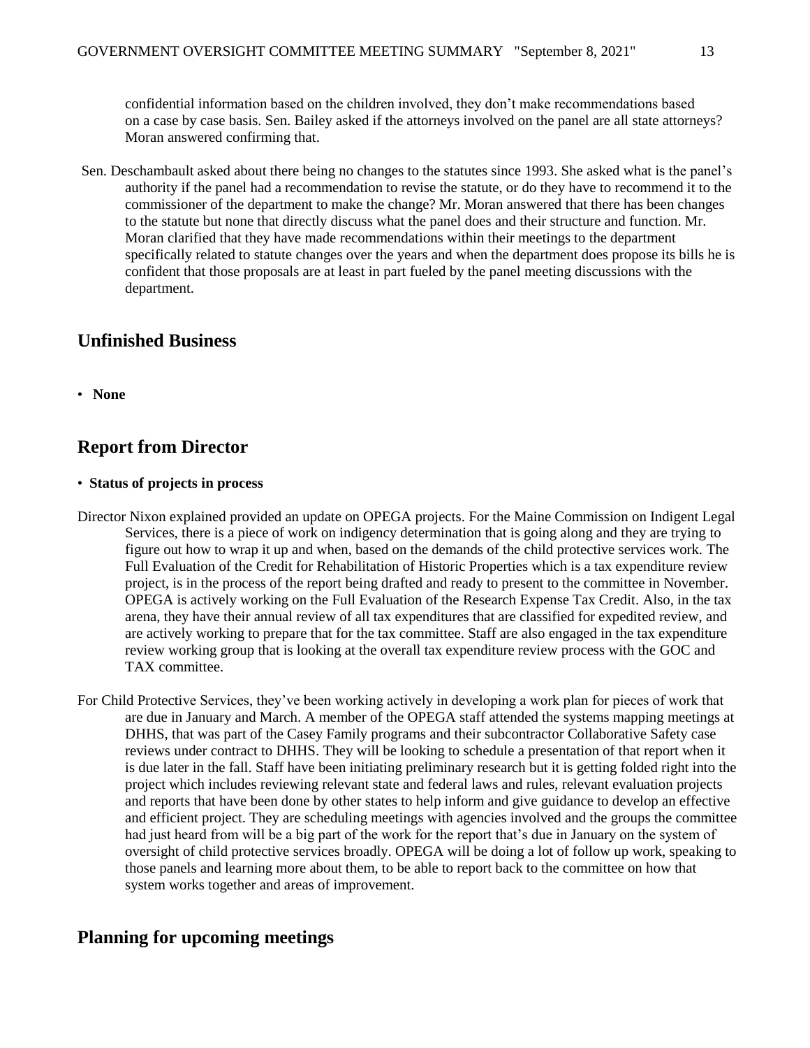confidential information based on the children involved, they don't make recommendations based on a case by case basis. Sen. Bailey asked if the attorneys involved on the panel are all state attorneys? Moran answered confirming that.

Sen. Deschambault asked about there being no changes to the statutes since 1993. She asked what is the panel's authority if the panel had a recommendation to revise the statute, or do they have to recommend it to the commissioner of the department to make the change? Mr. Moran answered that there has been changes to the statute but none that directly discuss what the panel does and their structure and function. Mr. Moran clarified that they have made recommendations within their meetings to the department specifically related to statute changes over the years and when the department does propose its bills he is confident that those proposals are at least in part fueled by the panel meeting discussions with the department.

# **Unfinished Business**

• **None**

# **Report from Director**

- **Status of projects in process**
- Director Nixon explained provided an update on OPEGA projects. For the Maine Commission on Indigent Legal Services, there is a piece of work on indigency determination that is going along and they are trying to figure out how to wrap it up and when, based on the demands of the child protective services work. The Full Evaluation of the Credit for Rehabilitation of Historic Properties which is a tax expenditure review project, is in the process of the report being drafted and ready to present to the committee in November. OPEGA is actively working on the Full Evaluation of the Research Expense Tax Credit. Also, in the tax arena, they have their annual review of all tax expenditures that are classified for expedited review, and are actively working to prepare that for the tax committee. Staff are also engaged in the tax expenditure review working group that is looking at the overall tax expenditure review process with the GOC and TAX committee.
- For Child Protective Services, they've been working actively in developing a work plan for pieces of work that are due in January and March. A member of the OPEGA staff attended the systems mapping meetings at DHHS, that was part of the Casey Family programs and their subcontractor Collaborative Safety case reviews under contract to DHHS. They will be looking to schedule a presentation of that report when it is due later in the fall. Staff have been initiating preliminary research but it is getting folded right into the project which includes reviewing relevant state and federal laws and rules, relevant evaluation projects and reports that have been done by other states to help inform and give guidance to develop an effective and efficient project. They are scheduling meetings with agencies involved and the groups the committee had just heard from will be a big part of the work for the report that's due in January on the system of oversight of child protective services broadly. OPEGA will be doing a lot of follow up work, speaking to those panels and learning more about them, to be able to report back to the committee on how that system works together and areas of improvement.

# **Planning for upcoming meetings**